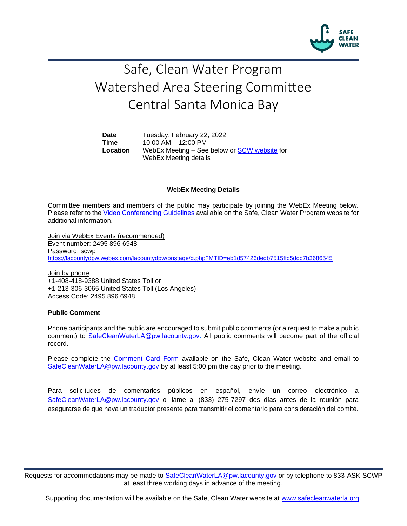

## Safe, Clean Water Program Watershed Area Steering Committee Central Santa Monica Bay

**Date** Tuesday, February 22, 2022 **Time** 10:00 AM – 12:00 PM **Location** WebEx Meeting – See below or [SCW website](https://safecleanwaterla.org/central-santa-monica-bay-watershed-area/) for WebEx Meeting details

## **WebEx Meeting Details**

Committee members and members of the public may participate by joining the WebEx Meeting below. Please refer to the [Video Conferencing Guidelines](https://safecleanwaterla.org/video-conference-guidelines/) available on the Safe, Clean Water Program website for additional information.

Join via WebEx Events (recommended) Event number: 2495 896 6948 Password: scwp <https://lacountydpw.webex.com/lacountydpw/onstage/g.php?MTID=eb1d57426dedb7515ffc5ddc7b3686545>

Join by phone +1-408-418-9388 United States Toll or +1-213-306-3065 United States Toll (Los Angeles) Access Code: 2495 896 6948

## **Public Comment**

Phone participants and the public are encouraged to submit public comments (or a request to make a public comment) to [SafeCleanWaterLA@pw.lacounty.gov.](mailto:SafeCleanWaterLA@pw.lacounty.gov) All public comments will become part of the official record.

Please complete the Comment [Card Form](https://safecleanwaterla.org/wp-content/uploads/2020/04/Comment-Card-Form.pdf) available on the Safe, Clean Water website and email to [SafeCleanWaterLA@pw.lacounty.gov](mailto:SafeCleanWaterLA@pw.lacounty.gov) by at least 5:00 pm the day prior to the meeting.

Para solicitudes de comentarios públicos en español, envíe un correo electrónico a [SafeCleanWaterLA@pw.lacounty.gov](mailto:SafeCleanWaterLA@pw.lacounty.gov) o lláme al (833) 275-7297 dos días antes de la reunión para asegurarse de que haya un traductor presente para transmitir el comentario para consideración del comité.

Requests for accommodations may be made to [SafeCleanWaterLA@pw.lacounty.gov](mailto:SafeCleanWaterLA@pw.lacounty.gov) or by telephone to 833-ASK-SCWP at least three working days in advance of the meeting.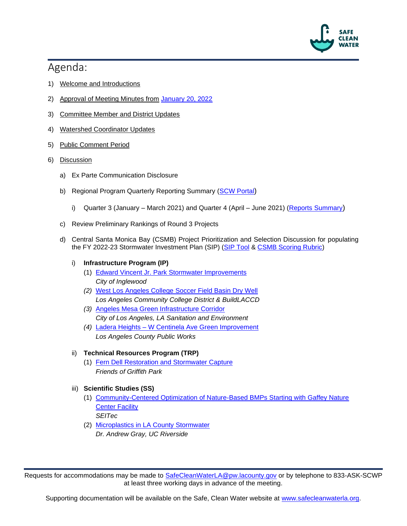

## Agenda:

- 1) Welcome and Introductions
- 2) Approval of Meeting Minutes from January [20, 2022](https://safecleanwaterla.org/wp-content/uploads/2022/02/WASC-CSMB-Final-Meeting-Minutes-20220120.pdf)
- 3) Committee Member and District Updates
- 4) Watershed Coordinator Updates
- 5) Public Comment Period
- 6) Discussion
	- a) Ex Parte Communication Disclosure
	- b) Regional Program Quarterly Reporting Summary [\(SCW Portal](https://portal.safecleanwaterla.org/scw-reporting/map))
		- i) Quarter 3 (January March 2021) and Quarter 4 (April June 2021) [\(Reports Summary](https://safecleanwaterla.org/wp-content/uploads/2022/02/CSMB-Quarterly-20220105.pdf))
	- c) Review Preliminary Rankings of Round 3 Projects
	- d) Central Santa Monica Bay (CSMB) Project Prioritization and Selection Discussion for populating the FY 2022-23 Stormwater Investment Plan (SIP) [\(SIP Tool](https://portal.safecleanwaterla.org/sip-tool/) & [CSMB Scoring Rubric\)](https://safecleanwaterla.org/wp-content/uploads/2022/02/CSMB-Scoring-Rubric-FY22-23.pdf)
		- i) **Infrastructure Program (IP)**
			- (1) [Edward Vincent Jr. Park Stormwater Improvements](https://portal.safecleanwaterla.org/projects-module-api/api/reportdownload/pdf/13/278) *City of Inglewood*
			- *(2)* [West Los Angeles College Soccer Field Basin Dry Well](https://portal.safecleanwaterla.org/projects-module-api/api/reportdownload/pdf/13/286)  *Los Angeles Community College District & BuildLACCD*
			- *(3)* [Angeles Mesa Green Infrastructure Corridor](https://portal.safecleanwaterla.org/projects-module-api/api/reportdownload/pdf/13/250)  *City of Los Angeles, LA Sanitation and Environment*
			- *(4)* Ladera Heights [W Centinela Ave Green Improvement](https://portal.safecleanwaterla.org/projects-module-api/api/reportdownload/pdf/13/271) *Los Angeles County Public Works*
		- ii) **Technical Resources Program (TRP)**
			- (1) [Fern Dell Restoration and Stormwater Capture](https://portal.safecleanwaterla.org/projects-module-api/api/reportdownload/pdf/55/60) *Friends of Griffith Park*
		- iii) **Scientific Studies (SS)**
			- (1) [Community-Centered Optimization of Nature-Based BMPs Starting with Gaffey Nature](https://portal.safecleanwaterla.org/projects-module-api/api/reportdownload/pdf/21/39)  [Center Facility](https://portal.safecleanwaterla.org/projects-module-api/api/reportdownload/pdf/21/39) *SEITec*
			- (2) [Microplastics in LA County Stormwater](https://portal.safecleanwaterla.org/projects-module-api/api/reportdownload/pdf/21/51) *Dr. Andrew Gray, UC Riverside*

Requests for accommodations may be made to [SafeCleanWaterLA@pw.lacounty.gov](mailto:SafeCleanWaterLA@pw.lacounty.gov) or by telephone to 833-ASK-SCWP at least three working days in advance of the meeting.

Supporting documentation will be available on the Safe, Clean Water website at [www.safecleanwaterla.org.](http://www.safecleanwaterla.org/)